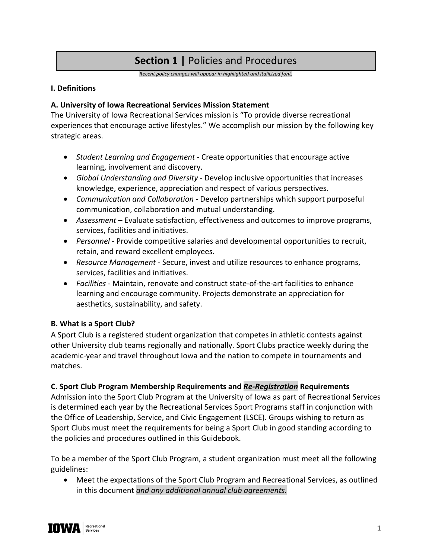# **Section 1 |** Policies and Procedures

*Recent policy changes will appear in highlighted and italicized font.*

#### **I. Definitions**

#### **A. University of Iowa Recreational Services Mission Statement**

The University of Iowa Recreational Services mission is "To provide diverse recreational experiences that encourage active lifestyles." We accomplish our mission by the following key strategic areas.

- *Student Learning and Engagement*  Create opportunities that encourage active learning, involvement and discovery.
- *Global Understanding and Diversity*  Develop inclusive opportunities that increases knowledge, experience, appreciation and respect of various perspectives.
- *Communication and Collaboration*  Develop partnerships which support purposeful communication, collaboration and mutual understanding.
- *Assessment* Evaluate satisfaction, effectiveness and outcomes to improve programs, services, facilities and initiatives.
- *Personnel* Provide competitive salaries and developmental opportunities to recruit, retain, and reward excellent employees.
- *Resource Management*  Secure, invest and utilize resources to enhance programs, services, facilities and initiatives.
- *Facilities* Maintain, renovate and construct state-of-the-art facilities to enhance learning and encourage community. Projects demonstrate an appreciation for aesthetics, sustainability, and safety.

#### **B. What is a Sport Club?**

A Sport Club is a registered student organization that competes in athletic contests against other University club teams regionally and nationally. Sport Clubs practice weekly during the academic-year and travel throughout Iowa and the nation to compete in tournaments and matches.

#### **C. Sport Club Program Membership Requirements and** *Re-Registration* **Requirements**

Admission into the Sport Club Program at the University of Iowa as part of Recreational Services is determined each year by the Recreational Services Sport Programs staff in conjunction with the Office of Leadership, Service, and Civic Engagement (LSCE). Groups wishing to return as Sport Clubs must meet the requirements for being a Sport Club in good standing according to the policies and procedures outlined in this Guidebook.

To be a member of the Sport Club Program, a student organization must meet all the following guidelines:

• Meet the expectations of the Sport Club Program and Recreational Services, as outlined in this document *and any additional annual club agreements.*

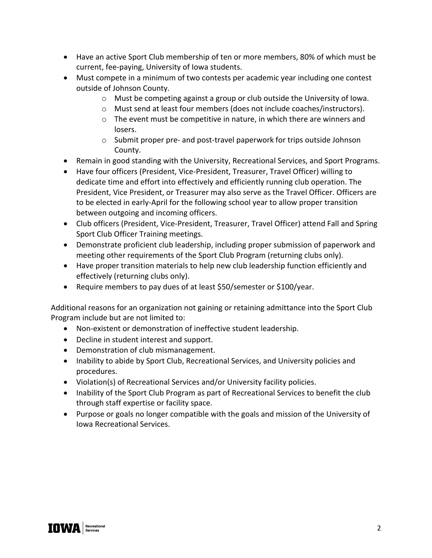- Have an active Sport Club membership of ten or more members, 80% of which must be current, fee-paying, University of Iowa students.
- Must compete in a minimum of two contests per academic year including one contest outside of Johnson County.
	- $\circ$  Must be competing against a group or club outside the University of Iowa.
	- o Must send at least four members (does not include coaches/instructors).
	- $\circ$  The event must be competitive in nature, in which there are winners and losers.
	- o Submit proper pre- and post-travel paperwork for trips outside Johnson County.
- Remain in good standing with the University, Recreational Services, and Sport Programs.
- Have four officers (President, Vice-President, Treasurer, Travel Officer) willing to dedicate time and effort into effectively and efficiently running club operation. The President, Vice President, or Treasurer may also serve as the Travel Officer. Officers are to be elected in early-April for the following school year to allow proper transition between outgoing and incoming officers.
- Club officers (President, Vice-President, Treasurer, Travel Officer) attend Fall and Spring Sport Club Officer Training meetings.
- Demonstrate proficient club leadership, including proper submission of paperwork and meeting other requirements of the Sport Club Program (returning clubs only).
- Have proper transition materials to help new club leadership function efficiently and effectively (returning clubs only).
- Require members to pay dues of at least \$50/semester or \$100/year.

Additional reasons for an organization not gaining or retaining admittance into the Sport Club Program include but are not limited to:

- Non-existent or demonstration of ineffective student leadership.
- Decline in student interest and support.
- Demonstration of club mismanagement.
- Inability to abide by Sport Club, Recreational Services, and University policies and procedures.
- Violation(s) of Recreational Services and/or University facility policies.
- Inability of the Sport Club Program as part of Recreational Services to benefit the club through staff expertise or facility space.
- Purpose or goals no longer compatible with the goals and mission of the University of Iowa Recreational Services.

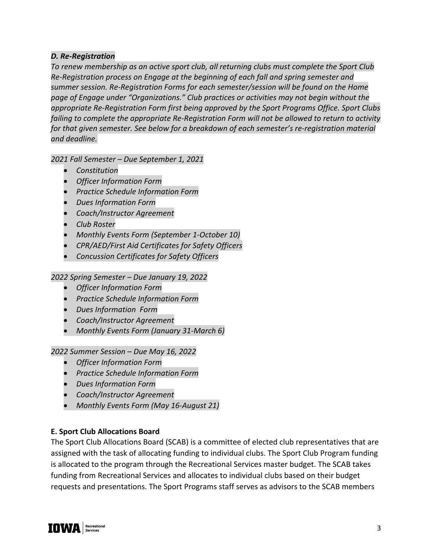# *D. Re-Registration*

*To renew membership as an active sport club, all returning clubs must complete the Sport Club Re-Registration process on Engage at the beginning of each fall and spring semester and summer session. Re-Registration Forms for each semester/session will be found on the Home page of Engage under "Organizations." Club practices or activities may not begin without the appropriate Re-Registration Form first being approved by the Sport Programs Office. Sport Clubs failing to complete the appropriate Re-Registration Form will not be allowed to return to activity for that given semester. See below for a breakdown of each semester's re-registration material and deadline.* 

*2021 Fall Semester – Due September 1, 2021*

- *Constitution*
- *Officer Information Form*
- *Practice Schedule Information Form*
- *Dues Information Form*
- *Coach/Instructor Agreement*
- *Club Roster*
- *Monthly Events Form (September 1-October 10)*
- *CPR/AED/First Aid Certificates for Safety Officers*
- *Concussion Certificates for Safety Officers*

*2022 Spring Semester – Due January 19, 2022*

- *Officer Information Form*
- *Practice Schedule Information Form*
- *Dues Information Form*
- *Coach/Instructor Agreement*
- *Monthly Events Form (January 31-March 6)*

*2022 Summer Session – Due May 16, 2022*

- *Officer Information Form*
- *Practice Schedule Information Form*
- *Dues Information Form*
- *Coach/Instructor Agreement*
- *Monthly Events Form (May 16-August 21)*

#### **E. Sport Club Allocations Board**

The Sport Club Allocations Board (SCAB) is a committee of elected club representatives that are assigned with the task of allocating funding to individual clubs. The Sport Club Program funding is allocated to the program through the Recreational Services master budget. The SCAB takes funding from Recreational Services and allocates to individual clubs based on their budget requests and presentations. The Sport Programs staff serves as advisors to the SCAB members

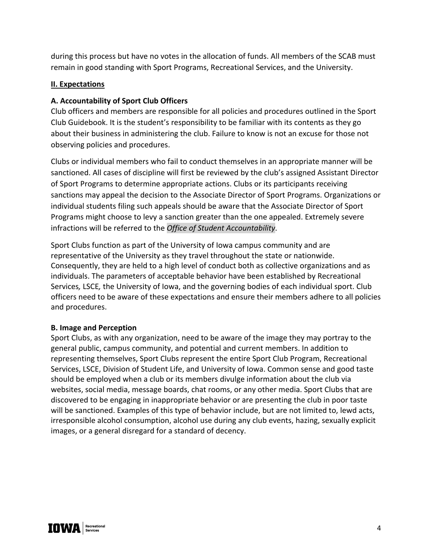during this process but have no votes in the allocation of funds. All members of the SCAB must remain in good standing with Sport Programs, Recreational Services, and the University.

#### **II. Expectations**

## **A. Accountability of Sport Club Officers**

Club officers and members are responsible for all policies and procedures outlined in the Sport Club Guidebook. It is the student's responsibility to be familiar with its contents as they go about their business in administering the club. Failure to know is not an excuse for those not observing policies and procedures.

Clubs or individual members who fail to conduct themselves in an appropriate manner will be sanctioned. All cases of discipline will first be reviewed by the club's assigned Assistant Director of Sport Programs to determine appropriate actions. Clubs or its participants receiving sanctions may appeal the decision to the Associate Director of Sport Programs. Organizations or individual students filing such appeals should be aware that the Associate Director of Sport Programs might choose to levy a sanction greater than the one appealed. Extremely severe infractions will be referred to the *Office of Student Accountability*.

Sport Clubs function as part of the University of Iowa campus community and are representative of the University as they travel throughout the state or nationwide. Consequently, they are held to a high level of conduct both as collective organizations and as individuals. The parameters of acceptable behavior have been established by Recreational Services*,* LSCE*,* the University of Iowa, and the governing bodies of each individual sport. Club officers need to be aware of these expectations and ensure their members adhere to all policies and procedures.

#### **B. Image and Perception**

Sport Clubs, as with any organization, need to be aware of the image they may portray to the general public, campus community, and potential and current members. In addition to representing themselves, Sport Clubs represent the entire Sport Club Program, Recreational Services, LSCE, Division of Student Life, and University of Iowa. Common sense and good taste should be employed when a club or its members divulge information about the club via websites, social media, message boards, chat rooms, or any other media. Sport Clubs that are discovered to be engaging in inappropriate behavior or are presenting the club in poor taste will be sanctioned. Examples of this type of behavior include, but are not limited to, lewd acts, irresponsible alcohol consumption, alcohol use during any club events, hazing, sexually explicit images, or a general disregard for a standard of decency.

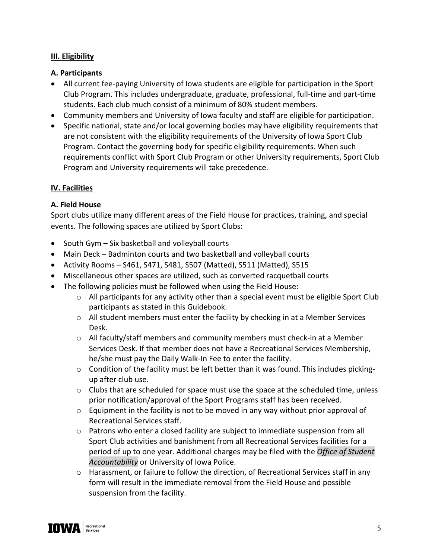## **III. Eligibility**

#### **A. Participants**

- All current fee-paying University of Iowa students are eligible for participation in the Sport Club Program. This includes undergraduate, graduate, professional, full-time and part-time students. Each club much consist of a minimum of 80% student members.
- Community members and University of Iowa faculty and staff are eligible for participation.
- Specific national, state and/or local governing bodies may have eligibility requirements that are not consistent with the eligibility requirements of the University of Iowa Sport Club Program. Contact the governing body for specific eligibility requirements. When such requirements conflict with Sport Club Program or other University requirements, Sport Club Program and University requirements will take precedence.

# **IV. Facilities**

#### **A. Field House**

Sport clubs utilize many different areas of the Field House for practices, training, and special events. The following spaces are utilized by Sport Clubs:

- South Gym Six basketball and volleyball courts
- Main Deck Badminton courts and two basketball and volleyball courts
- Activity Rooms S461, S471, S481, S507 (Matted), S511 (Matted), S515
- Miscellaneous other spaces are utilized, such as converted racquetball courts
- The following policies must be followed when using the Field House:
	- o All participants for any activity other than a special event must be eligible Sport Club participants as stated in this Guidebook.
	- o All student members must enter the facility by checking in at a Member Services Desk.
	- $\circ$  All faculty/staff members and community members must check-in at a Member Services Desk. If that member does not have a Recreational Services Membership, he/she must pay the Daily Walk-In Fee to enter the facility.
	- $\circ$  Condition of the facility must be left better than it was found. This includes pickingup after club use.
	- $\circ$  Clubs that are scheduled for space must use the space at the scheduled time, unless prior notification/approval of the Sport Programs staff has been received.
	- o Equipment in the facility is not to be moved in any way without prior approval of Recreational Services staff.
	- $\circ$  Patrons who enter a closed facility are subject to immediate suspension from all Sport Club activities and banishment from all Recreational Services facilities for a period of up to one year. Additional charges may be filed with the *Office of Student Accountability* or University of Iowa Police.
	- o Harassment, or failure to follow the direction, of Recreational Services staff in any form will result in the immediate removal from the Field House and possible suspension from the facility.

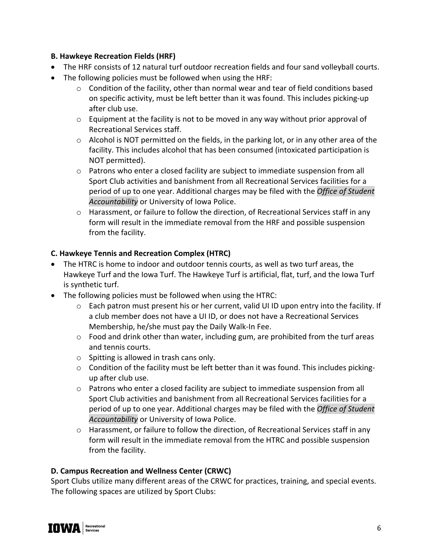# **B. Hawkeye Recreation Fields (HRF)**

- The HRF consists of 12 natural turf outdoor recreation fields and four sand volleyball courts.
- The following policies must be followed when using the HRF:
	- $\circ$  Condition of the facility, other than normal wear and tear of field conditions based on specific activity, must be left better than it was found. This includes picking-up after club use.
	- $\circ$  Equipment at the facility is not to be moved in any way without prior approval of Recreational Services staff.
	- $\circ$  Alcohol is NOT permitted on the fields, in the parking lot, or in any other area of the facility. This includes alcohol that has been consumed (intoxicated participation is NOT permitted).
	- $\circ$  Patrons who enter a closed facility are subject to immediate suspension from all Sport Club activities and banishment from all Recreational Services facilities for a period of up to one year. Additional charges may be filed with the *Office of Student Accountability* or University of Iowa Police.
	- $\circ$  Harassment, or failure to follow the direction, of Recreational Services staff in any form will result in the immediate removal from the HRF and possible suspension from the facility.

# **C. Hawkeye Tennis and Recreation Complex (HTRC)**

- The HTRC is home to indoor and outdoor tennis courts, as well as two turf areas, the Hawkeye Turf and the Iowa Turf. The Hawkeye Turf is artificial, flat, turf, and the Iowa Turf is synthetic turf.
- The following policies must be followed when using the HTRC:
	- o Each patron must present his or her current, valid UI ID upon entry into the facility. If a club member does not have a UI ID, or does not have a Recreational Services Membership, he/she must pay the Daily Walk-In Fee.
	- o Food and drink other than water, including gum, are prohibited from the turf areas and tennis courts.
	- o Spitting is allowed in trash cans only.
	- o Condition of the facility must be left better than it was found. This includes pickingup after club use.
	- $\circ$  Patrons who enter a closed facility are subject to immediate suspension from all Sport Club activities and banishment from all Recreational Services facilities for a period of up to one year. Additional charges may be filed with the *Office of Student Accountability* or University of Iowa Police.
	- o Harassment, or failure to follow the direction, of Recreational Services staff in any form will result in the immediate removal from the HTRC and possible suspension from the facility.

# **D. Campus Recreation and Wellness Center (CRWC)**

Sport Clubs utilize many different areas of the CRWC for practices, training, and special events. The following spaces are utilized by Sport Clubs:

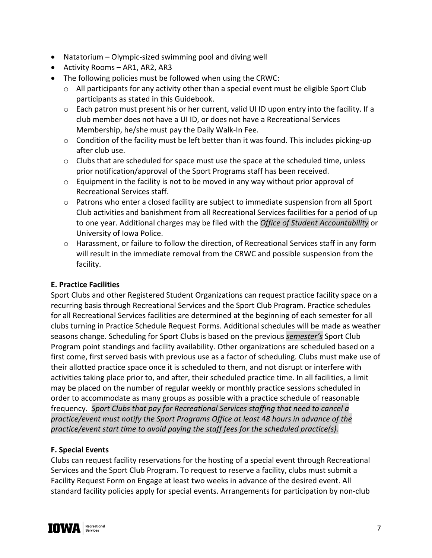- Natatorium Olympic-sized swimming pool and diving well
- Activity Rooms AR1, AR2, AR3
- The following policies must be followed when using the CRWC:
	- o All participants for any activity other than a special event must be eligible Sport Club participants as stated in this Guidebook.
	- $\circ$  Each patron must present his or her current, valid UI ID upon entry into the facility. If a club member does not have a UI ID, or does not have a Recreational Services Membership, he/she must pay the Daily Walk-In Fee.
	- o Condition of the facility must be left better than it was found. This includes picking-up after club use.
	- o Clubs that are scheduled for space must use the space at the scheduled time, unless prior notification/approval of the Sport Programs staff has been received.
	- $\circ$  Equipment in the facility is not to be moved in any way without prior approval of Recreational Services staff.
	- $\circ$  Patrons who enter a closed facility are subject to immediate suspension from all Sport Club activities and banishment from all Recreational Services facilities for a period of up to one year. Additional charges may be filed with the *Office of Student Accountability* or University of Iowa Police.
	- o Harassment, or failure to follow the direction, of Recreational Services staff in any form will result in the immediate removal from the CRWC and possible suspension from the facility.

# **E. Practice Facilities**

Sport Clubs and other Registered Student Organizations can request practice facility space on a recurring basis through Recreational Services and the Sport Club Program. Practice schedules for all Recreational Services facilities are determined at the beginning of each semester for all clubs turning in Practice Schedule Request Forms. Additional schedules will be made as weather seasons change. Scheduling for Sport Clubs is based on the previous *semester's* Sport Club Program point standings and facility availability. Other organizations are scheduled based on a first come, first served basis with previous use as a factor of scheduling. Clubs must make use of their allotted practice space once it is scheduled to them, and not disrupt or interfere with activities taking place prior to, and after, their scheduled practice time. In all facilities, a limit may be placed on the number of regular weekly or monthly practice sessions scheduled in order to accommodate as many groups as possible with a practice schedule of reasonable frequency. *Sport Clubs that pay for Recreational Services staffing that need to cancel a practice/event must notify the Sport Programs Office at least 48 hours in advance of the practice/event start time to avoid paying the staff fees for the scheduled practice(s).*

# **F. Special Events**

Clubs can request facility reservations for the hosting of a special event through Recreational Services and the Sport Club Program. To request to reserve a facility, clubs must submit a Facility Request Form on Engage at least two weeks in advance of the desired event. All standard facility policies apply for special events. Arrangements for participation by non-club

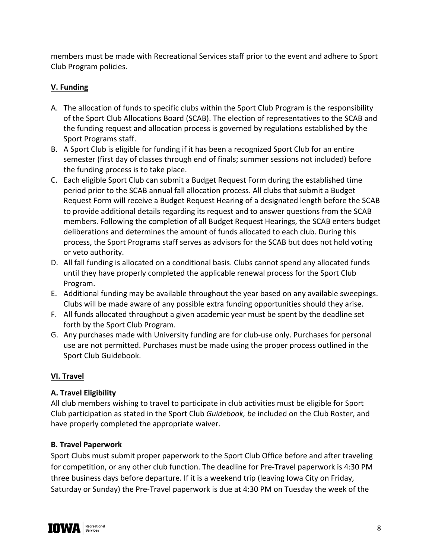members must be made with Recreational Services staff prior to the event and adhere to Sport Club Program policies.

# **V. Funding**

- A. The allocation of funds to specific clubs within the Sport Club Program is the responsibility of the Sport Club Allocations Board (SCAB). The election of representatives to the SCAB and the funding request and allocation process is governed by regulations established by the Sport Programs staff.
- B. A Sport Club is eligible for funding if it has been a recognized Sport Club for an entire semester (first day of classes through end of finals; summer sessions not included) before the funding process is to take place.
- C. Each eligible Sport Club can submit a Budget Request Form during the established time period prior to the SCAB annual fall allocation process. All clubs that submit a Budget Request Form will receive a Budget Request Hearing of a designated length before the SCAB to provide additional details regarding its request and to answer questions from the SCAB members. Following the completion of all Budget Request Hearings, the SCAB enters budget deliberations and determines the amount of funds allocated to each club. During this process, the Sport Programs staff serves as advisors for the SCAB but does not hold voting or veto authority.
- D. All fall funding is allocated on a conditional basis. Clubs cannot spend any allocated funds until they have properly completed the applicable renewal process for the Sport Club Program.
- E. Additional funding may be available throughout the year based on any available sweepings. Clubs will be made aware of any possible extra funding opportunities should they arise.
- F. All funds allocated throughout a given academic year must be spent by the deadline set forth by the Sport Club Program.
- G. Any purchases made with University funding are for club-use only. Purchases for personal use are not permitted. Purchases must be made using the proper process outlined in the Sport Club Guidebook.

# **VI. Travel**

# **A. Travel Eligibility**

All club members wishing to travel to participate in club activities must be eligible for Sport Club participation as stated in the Sport Club *Guidebook, be* included on the Club Roster, and have properly completed the appropriate waiver.

#### **B. Travel Paperwork**

Sport Clubs must submit proper paperwork to the Sport Club Office before and after traveling for competition, or any other club function. The deadline for Pre-Travel paperwork is 4:30 PM three business days before departure. If it is a weekend trip (leaving Iowa City on Friday, Saturday or Sunday) the Pre-Travel paperwork is due at 4:30 PM on Tuesday the week of the

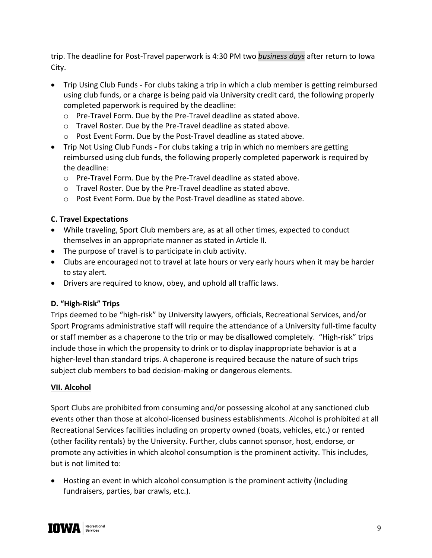trip. The deadline for Post-Travel paperwork is 4:30 PM two *business days* after return to Iowa City.

- Trip Using Club Funds *-* For clubs taking a trip in which a club member is getting reimbursed using club funds, or a charge is being paid via University credit card, the following properly completed paperwork is required by the deadline:
	- o Pre-Travel Form. Due by the Pre-Travel deadline as stated above.
	- o Travel Roster. Due by the Pre-Travel deadline as stated above.
	- o Post Event Form. Due by the Post-Travel deadline as stated above.
- Trip Not Using Club Funds *-* For clubs taking a trip in which no members are getting reimbursed using club funds, the following properly completed paperwork is required by the deadline:
	- o Pre-Travel Form. Due by the Pre-Travel deadline as stated above.
	- o Travel Roster. Due by the Pre-Travel deadline as stated above.
	- o Post Event Form. Due by the Post-Travel deadline as stated above.

# **C. Travel Expectations**

- While traveling, Sport Club members are, as at all other times, expected to conduct themselves in an appropriate manner as stated in Article II.
- The purpose of travel is to participate in club activity.
- Clubs are encouraged not to travel at late hours or very early hours when it may be harder to stay alert.
- Drivers are required to know, obey, and uphold all traffic laws.

# **D. "High-Risk" Trips**

Trips deemed to be "high-risk" by University lawyers, officials, Recreational Services, and/or Sport Programs administrative staff will require the attendance of a University full-time faculty or staff member as a chaperone to the trip or may be disallowed completely. "High-risk" trips include those in which the propensity to drink or to display inappropriate behavior is at a higher-level than standard trips. A chaperone is required because the nature of such trips subject club members to bad decision-making or dangerous elements.

# **VII. Alcohol**

Sport Clubs are prohibited from consuming and/or possessing alcohol at any sanctioned club events other than those at alcohol-licensed business establishments. Alcohol is prohibited at all Recreational Services facilities including on property owned (boats, vehicles, etc.) or rented (other facility rentals) by the University. Further, clubs cannot sponsor, host, endorse, or promote any activities in which alcohol consumption is the prominent activity. This includes, but is not limited to:

• Hosting an event in which alcohol consumption is the prominent activity (including fundraisers, parties, bar crawls, etc.).

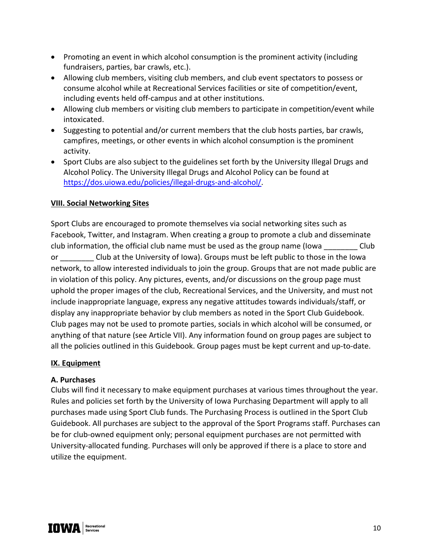- Promoting an event in which alcohol consumption is the prominent activity (including fundraisers, parties, bar crawls, etc.).
- Allowing club members, visiting club members, and club event spectators to possess or consume alcohol while at Recreational Services facilities or site of competition/event, including events held off-campus and at other institutions.
- Allowing club members or visiting club members to participate in competition/event while intoxicated.
- Suggesting to potential and/or current members that the club hosts parties, bar crawls, campfires, meetings, or other events in which alcohol consumption is the prominent activity.
- Sport Clubs are also subject to the guidelines set forth by the University Illegal Drugs and Alcohol Policy. The University Illegal Drugs and Alcohol Policy can be found at https://dos.uiowa.edu/policies/illegal-drugs-and-alcohol/.

#### **VIII. Social Networking Sites**

Sport Clubs are encouraged to promote themselves via social networking sites such as Facebook, Twitter, and Instagram. When creating a group to promote a club and disseminate club information, the official club name must be used as the group name (Iowa \_\_\_\_\_\_\_\_ Club or **Example 20 Club at the University of Iowa). Groups must be left public to those in the Iowa** network, to allow interested individuals to join the group. Groups that are not made public are in violation of this policy. Any pictures, events, and/or discussions on the group page must uphold the proper images of the club, Recreational Services, and the University, and must not include inappropriate language, express any negative attitudes towards individuals/staff, or display any inappropriate behavior by club members as noted in the Sport Club Guidebook. Club pages may not be used to promote parties, socials in which alcohol will be consumed, or anything of that nature (see Article VII). Any information found on group pages are subject to all the policies outlined in this Guidebook. Group pages must be kept current and up-to-date.

#### **IX. Equipment**

#### **A. Purchases**

Clubs will find it necessary to make equipment purchases at various times throughout the year. Rules and policies set forth by the University of Iowa Purchasing Department will apply to all purchases made using Sport Club funds. The Purchasing Process is outlined in the Sport Club Guidebook. All purchases are subject to the approval of the Sport Programs staff. Purchases can be for club-owned equipment only; personal equipment purchases are not permitted with University-allocated funding. Purchases will only be approved if there is a place to store and utilize the equipment.

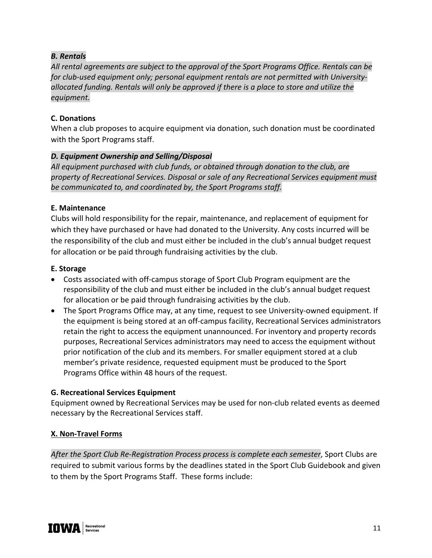# *B. Rentals*

*All rental agreements are subject to the approval of the Sport Programs Office. Rentals can be for club-used equipment only; personal equipment rentals are not permitted with Universityallocated funding. Rentals will only be approved if there is a place to store and utilize the equipment.*

# **C. Donations**

When a club proposes to acquire equipment via donation, such donation must be coordinated with the Sport Programs staff.

# *D. Equipment Ownership and Selling/Disposal*

*All equipment purchased with club funds, or obtained through donation to the club, are property of Recreational Services. Disposal or sale of any Recreational Services equipment must be communicated to, and coordinated by, the Sport Programs staff.*

#### **E. Maintenance**

Clubs will hold responsibility for the repair, maintenance, and replacement of equipment for which they have purchased or have had donated to the University. Any costs incurred will be the responsibility of the club and must either be included in the club's annual budget request for allocation or be paid through fundraising activities by the club.

#### **E. Storage**

- Costs associated with off-campus storage of Sport Club Program equipment are the responsibility of the club and must either be included in the club's annual budget request for allocation or be paid through fundraising activities by the club.
- The Sport Programs Office may, at any time, request to see University-owned equipment. If the equipment is being stored at an off-campus facility, Recreational Services administrators retain the right to access the equipment unannounced. For inventory and property records purposes, Recreational Services administrators may need to access the equipment without prior notification of the club and its members. For smaller equipment stored at a club member's private residence, requested equipment must be produced to the Sport Programs Office within 48 hours of the request.

#### **G. Recreational Services Equipment**

Equipment owned by Recreational Services may be used for non-club related events as deemed necessary by the Recreational Services staff.

# **X. Non-Travel Forms**

*After the Sport Club Re-Registration Process process is complete each semester*, Sport Clubs are required to submit various forms by the deadlines stated in the Sport Club Guidebook and given to them by the Sport Programs Staff. These forms include:

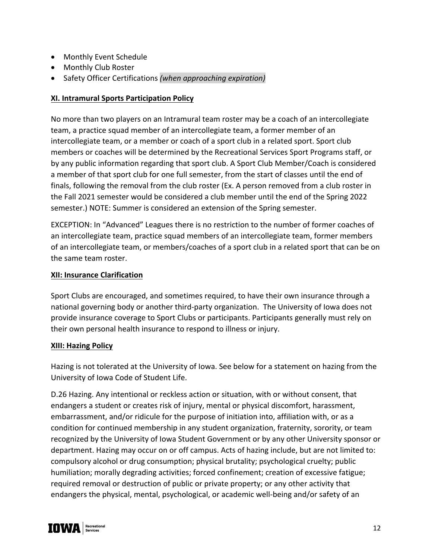- Monthly Event Schedule
- Monthly Club Roster
- Safety Officer Certifications *(when approaching expiration)*

#### **XI. Intramural Sports Participation Policy**

No more than two players on an Intramural team roster may be a coach of an intercollegiate team, a practice squad member of an intercollegiate team, a former member of an intercollegiate team, or a member or coach of a sport club in a related sport. Sport club members or coaches will be determined by the Recreational Services Sport Programs staff, or by any public information regarding that sport club. A Sport Club Member/Coach is considered a member of that sport club for one full semester, from the start of classes until the end of finals, following the removal from the club roster (Ex. A person removed from a club roster in the Fall 2021 semester would be considered a club member until the end of the Spring 2022 semester.) NOTE: Summer is considered an extension of the Spring semester.

EXCEPTION: In "Advanced" Leagues there is no restriction to the number of former coaches of an intercollegiate team, practice squad members of an intercollegiate team, former members of an intercollegiate team, or members/coaches of a sport club in a related sport that can be on the same team roster.

#### **XII: Insurance Clarification**

Sport Clubs are encouraged, and sometimes required, to have their own insurance through a national governing body or another third-party organization. The University of Iowa does not provide insurance coverage to Sport Clubs or participants. Participants generally must rely on their own personal health insurance to respond to illness or injury.

#### **XIII: Hazing Policy**

Hazing is not tolerated at the University of Iowa. See below for a statement on hazing from the University of Iowa Code of Student Life.

D.26 Hazing. Any intentional or reckless action or situation, with or without consent, that endangers a student or creates risk of injury, mental or physical discomfort, harassment, embarrassment, and/or ridicule for the purpose of initiation into, affiliation with, or as a condition for continued membership in any student organization, fraternity, sorority, or team recognized by the University of Iowa Student Government or by any other University sponsor or department. Hazing may occur on or off campus. Acts of hazing include, but are not limited to: compulsory alcohol or drug consumption; physical brutality; psychological cruelty; public humiliation; morally degrading activities; forced confinement; creation of excessive fatigue; required removal or destruction of public or private property; or any other activity that endangers the physical, mental, psychological, or academic well-being and/or safety of an

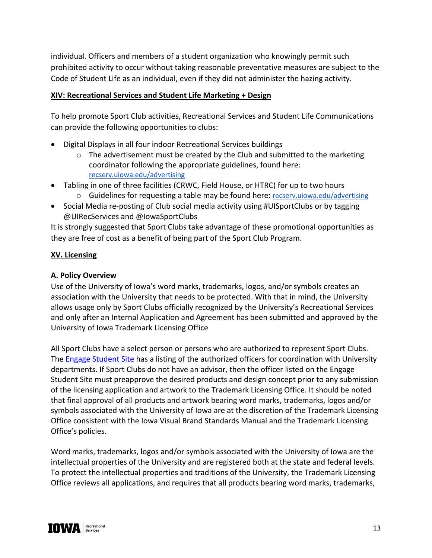individual. Officers and members of a student organization who knowingly permit such prohibited activity to occur without taking reasonable preventative measures are subject to the Code of Student Life as an individual, even if they did not administer the hazing activity.

#### **XIV: Recreational Services and Student Life Marketing + Design**

To help promote Sport Club activities, Recreational Services and Student Life Communications can provide the following opportunities to clubs:

- Digital Displays in all four indoor Recreational Services buildings
	- o The advertisement must be created by the Club and submitted to the marketing coordinator following the appropriate guidelines, found here: recserv.uiowa.edu/advertising
- Tabling in one of three facilities (CRWC, Field House, or HTRC) for up to two hours o Guidelines for requesting a table may be found here: recserv.uiowa.edu/advertising
- Social Media re-posting of Club social media activity using #UISportClubs or by tagging @UIRecServices and @IowaSportClubs

It is strongly suggested that Sport Clubs take advantage of these promotional opportunities as they are free of cost as a benefit of being part of the Sport Club Program.

#### **XV. Licensing**

## **A. Policy Overview**

Use of the University of Iowa's word marks, trademarks, logos, and/or symbols creates an association with the University that needs to be protected. With that in mind, the University allows usage only by Sport Clubs officially recognized by the University's Recreational Services and only after an Internal Application and Agreement has been submitted and approved by the University of Iowa Trademark Licensing Office

All Sport Clubs have a select person or persons who are authorized to represent Sport Clubs. The Engage Student Site has a listing of the authorized officers for coordination with University departments. If Sport Clubs do not have an advisor, then the officer listed on the Engage Student Site must preapprove the desired products and design concept prior to any submission of the licensing application and artwork to the Trademark Licensing Office. It should be noted that final approval of all products and artwork bearing word marks, trademarks, logos and/or symbols associated with the University of Iowa are at the discretion of the Trademark Licensing Office consistent with the Iowa Visual Brand Standards Manual and the Trademark Licensing Office's policies.

Word marks, trademarks, logos and/or symbols associated with the University of Iowa are the intellectual properties of the University and are registered both at the state and federal levels. To protect the intellectual properties and traditions of the University, the Trademark Licensing Office reviews all applications, and requires that all products bearing word marks, trademarks,

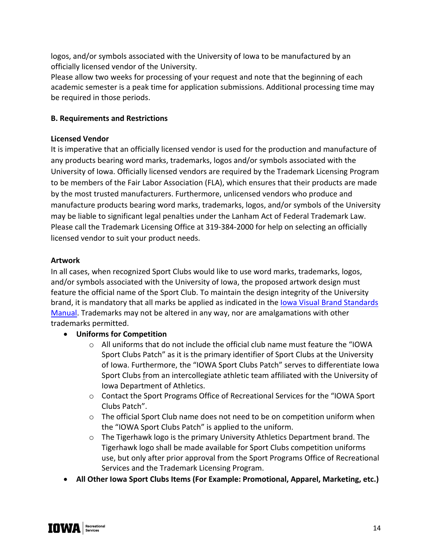logos, and/or symbols associated with the University of Iowa to be manufactured by an officially licensed vendor of the University.

Please allow two weeks for processing of your request and note that the beginning of each academic semester is a peak time for application submissions. Additional processing time may be required in those periods.

## **B. Requirements and Restrictions**

## **Licensed Vendor**

It is imperative that an officially licensed vendor is used for the production and manufacture of any products bearing word marks, trademarks, logos and/or symbols associated with the University of Iowa. Officially licensed vendors are required by the Trademark Licensing Program to be members of the Fair Labor Association (FLA), which ensures that their products are made by the most trusted manufacturers. Furthermore, unlicensed vendors who produce and manufacture products bearing word marks, trademarks, logos, and/or symbols of the University may be liable to significant legal penalties under the Lanham Act of Federal Trademark Law. Please call the Trademark Licensing Office at 319-384-2000 for help on selecting an officially licensed vendor to suit your product needs.

# **Artwork**

In all cases, when recognized Sport Clubs would like to use word marks, trademarks, logos, and/or symbols associated with the University of Iowa, the proposed artwork design must feature the official name of the Sport Club. To maintain the design integrity of the University brand, it is mandatory that all marks be applied as indicated in the Iowa Visual Brand Standards Manual. Trademarks may not be altered in any way, nor are amalgamations with other trademarks permitted.

- **Uniforms for Competition** 
	- $\circ$  All uniforms that do not include the official club name must feature the "IOWA Sport Clubs Patch" as it is the primary identifier of Sport Clubs at the University of Iowa. Furthermore, the "IOWA Sport Clubs Patch" serves to differentiate Iowa Sport Clubs from an intercollegiate athletic team affiliated with the University of Iowa Department of Athletics.
	- o Contact the Sport Programs Office of Recreational Services for the "IOWA Sport Clubs Patch".
	- $\circ$  The official Sport Club name does not need to be on competition uniform when the "IOWA Sport Clubs Patch" is applied to the uniform.
	- o The Tigerhawk logo is the primary University Athletics Department brand. The Tigerhawk logo shall be made available for Sport Clubs competition uniforms use, but only after prior approval from the Sport Programs Office of Recreational Services and the Trademark Licensing Program.
- **All Other Iowa Sport Clubs Items (For Example: Promotional, Apparel, Marketing, etc.)**

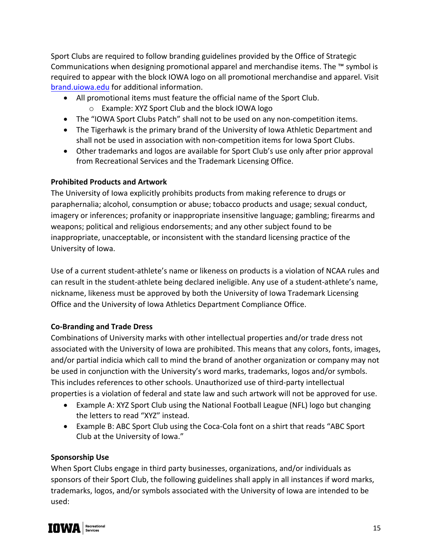Sport Clubs are required to follow branding guidelines provided by the Office of Strategic Communications when designing promotional apparel and merchandise items. The ™ symbol is required to appear with the block IOWA logo on all promotional merchandise and apparel. Visit brand.uiowa.edu for additional information.

- All promotional items must feature the official name of the Sport Club.
	- o Example: XYZ Sport Club and the block IOWA logo
- The "IOWA Sport Clubs Patch" shall not to be used on any non-competition items.
- The Tigerhawk is the primary brand of the University of Iowa Athletic Department and shall not be used in association with non-competition items for Iowa Sport Clubs.
- Other trademarks and logos are available for Sport Club's use only after prior approval from Recreational Services and the Trademark Licensing Office.

# **Prohibited Products and Artwork**

The University of Iowa explicitly prohibits products from making reference to drugs or paraphernalia; alcohol, consumption or abuse; tobacco products and usage; sexual conduct, imagery or inferences; profanity or inappropriate insensitive language; gambling; firearms and weapons; political and religious endorsements; and any other subject found to be inappropriate, unacceptable, or inconsistent with the standard licensing practice of the University of Iowa.

Use of a current student-athlete's name or likeness on products is a violation of NCAA rules and can result in the student-athlete being declared ineligible. Any use of a student-athlete's name, nickname, likeness must be approved by both the University of Iowa Trademark Licensing Office and the University of Iowa Athletics Department Compliance Office.

#### **Co-Branding and Trade Dress**

Combinations of University marks with other intellectual properties and/or trade dress not associated with the University of Iowa are prohibited. This means that any colors, fonts, images, and/or partial indicia which call to mind the brand of another organization or company may not be used in conjunction with the University's word marks, trademarks, logos and/or symbols. This includes references to other schools. Unauthorized use of third-party intellectual properties is a violation of federal and state law and such artwork will not be approved for use.

- Example A: XYZ Sport Club using the National Football League (NFL) logo but changing the letters to read "XYZ" instead.
- Example B: ABC Sport Club using the Coca-Cola font on a shirt that reads "ABC Sport Club at the University of Iowa."

# **Sponsorship Use**

When Sport Clubs engage in third party businesses, organizations, and/or individuals as sponsors of their Sport Club, the following guidelines shall apply in all instances if word marks, trademarks, logos, and/or symbols associated with the University of Iowa are intended to be used:

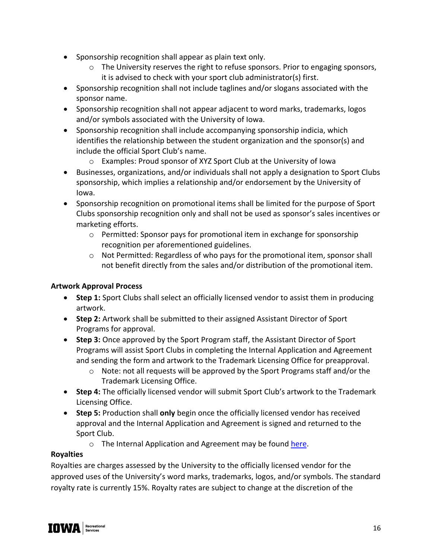- Sponsorship recognition shall appear as plain text only.
	- $\circ$  The University reserves the right to refuse sponsors. Prior to engaging sponsors, it is advised to check with your sport club administrator(s) first.
- Sponsorship recognition shall not include taglines and/or slogans associated with the sponsor name.
- Sponsorship recognition shall not appear adjacent to word marks, trademarks, logos and/or symbols associated with the University of Iowa.
- Sponsorship recognition shall include accompanying sponsorship indicia, which identifies the relationship between the student organization and the sponsor(s) and include the official Sport Club's name.
	- o Examples: Proud sponsor of XYZ Sport Club at the University of Iowa
- Businesses, organizations, and/or individuals shall not apply a designation to Sport Clubs sponsorship, which implies a relationship and/or endorsement by the University of Iowa.
- Sponsorship recognition on promotional items shall be limited for the purpose of Sport Clubs sponsorship recognition only and shall not be used as sponsor's sales incentives or marketing efforts.
	- $\circ$  Permitted: Sponsor pays for promotional item in exchange for sponsorship recognition per aforementioned guidelines.
	- o Not Permitted: Regardless of who pays for the promotional item, sponsor shall not benefit directly from the sales and/or distribution of the promotional item.

# **Artwork Approval Process**

- **Step 1:** Sport Clubs shall select an officially licensed vendor to assist them in producing artwork.
- **Step 2:** Artwork shall be submitted to their assigned Assistant Director of Sport Programs for approval.
- **Step 3:** Once approved by the Sport Program staff, the Assistant Director of Sport Programs will assist Sport Clubs in completing the Internal Application and Agreement and sending the form and artwork to the Trademark Licensing Office for preapproval.
	- $\circ$  Note: not all requests will be approved by the Sport Programs staff and/or the Trademark Licensing Office.
- **Step 4:** The officially licensed vendor will submit Sport Club's artwork to the Trademark Licensing Office.
- **Step 5:** Production shall **only** begin once the officially licensed vendor has received approval and the Internal Application and Agreement is signed and returned to the Sport Club.
	- o The Internal Application and Agreement may be found here.

#### **Royalties**

Royalties are charges assessed by the University to the officially licensed vendor for the approved uses of the University's word marks, trademarks, logos, and/or symbols. The standard royalty rate is currently 15%. Royalty rates are subject to change at the discretion of the

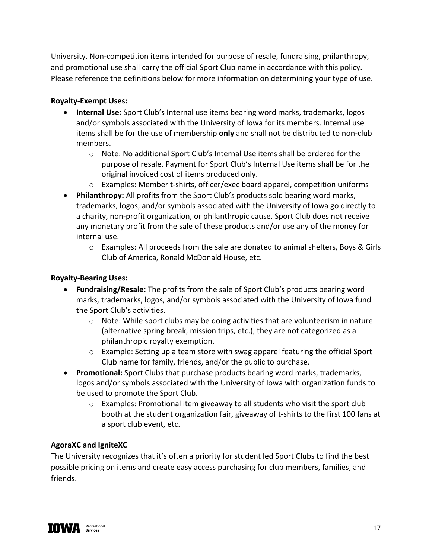University. Non-competition items intended for purpose of resale, fundraising, philanthropy, and promotional use shall carry the official Sport Club name in accordance with this policy. Please reference the definitions below for more information on determining your type of use.

## **Royalty-Exempt Uses:**

- **Internal Use:** Sport Club's Internal use items bearing word marks, trademarks, logos and/or symbols associated with the University of Iowa for its members. Internal use items shall be for the use of membership **only** and shall not be distributed to non-club members.
	- o Note: No additional Sport Club's Internal Use items shall be ordered for the purpose of resale. Payment for Sport Club's Internal Use items shall be for the original invoiced cost of items produced only.
	- o Examples: Member t-shirts, officer/exec board apparel, competition uniforms
- **Philanthropy:** All profits from the Sport Club's products sold bearing word marks, trademarks, logos, and/or symbols associated with the University of Iowa go directly to a charity, non-profit organization, or philanthropic cause. Sport Club does not receive any monetary profit from the sale of these products and/or use any of the money for internal use.
	- $\circ$  Examples: All proceeds from the sale are donated to animal shelters, Boys & Girls Club of America, Ronald McDonald House, etc.

## **Royalty-Bearing Uses:**

- **Fundraising/Resale:** The profits from the sale of Sport Club's products bearing word marks, trademarks, logos, and/or symbols associated with the University of Iowa fund the Sport Club's activities.
	- $\circ$  Note: While sport clubs may be doing activities that are volunteerism in nature (alternative spring break, mission trips, etc.), they are not categorized as a philanthropic royalty exemption.
	- $\circ$  Example: Setting up a team store with swag apparel featuring the official Sport Club name for family, friends, and/or the public to purchase.
- **Promotional:** Sport Clubs that purchase products bearing word marks, trademarks, logos and/or symbols associated with the University of Iowa with organization funds to be used to promote the Sport Club.
	- $\circ$  Examples: Promotional item giveaway to all students who visit the sport club booth at the student organization fair, giveaway of t-shirts to the first 100 fans at a sport club event, etc.

#### **AgoraXC and IgniteXC**

The University recognizes that it's often a priority for student led Sport Clubs to find the best possible pricing on items and create easy access purchasing for club members, families, and friends.

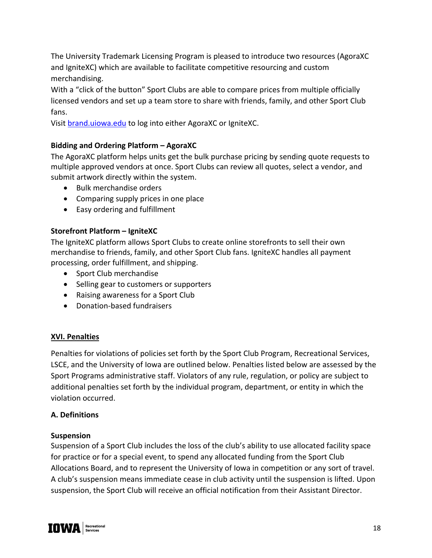The University Trademark Licensing Program is pleased to introduce two resources (AgoraXC and IgniteXC) which are available to facilitate competitive resourcing and custom merchandising.

With a "click of the button" Sport Clubs are able to compare prices from multiple officially licensed vendors and set up a team store to share with friends, family, and other Sport Club fans.

Visit brand.uiowa.edu to log into either AgoraXC or IgniteXC.

# **Bidding and Ordering Platform – AgoraXC**

The AgoraXC platform helps units get the bulk purchase pricing by sending quote requests to multiple approved vendors at once. Sport Clubs can review all quotes, select a vendor, and submit artwork directly within the system.

- Bulk merchandise orders
- Comparing supply prices in one place
- Easy ordering and fulfillment

# **Storefront Platform – IgniteXC**

The IgniteXC platform allows Sport Clubs to create online storefronts to sell their own merchandise to friends, family, and other Sport Club fans. IgniteXC handles all payment processing, order fulfillment, and shipping.

- Sport Club merchandise
- Selling gear to customers or supporters
- Raising awareness for a Sport Club
- Donation-based fundraisers

#### **XVI. Penalties**

Penalties for violations of policies set forth by the Sport Club Program, Recreational Services, LSCE, and the University of Iowa are outlined below. Penalties listed below are assessed by the Sport Programs administrative staff. Violators of any rule, regulation, or policy are subject to additional penalties set forth by the individual program, department, or entity in which the violation occurred.

#### **A. Definitions**

#### **Suspension**

Suspension of a Sport Club includes the loss of the club's ability to use allocated facility space for practice or for a special event, to spend any allocated funding from the Sport Club Allocations Board, and to represent the University of Iowa in competition or any sort of travel. A club's suspension means immediate cease in club activity until the suspension is lifted. Upon suspension, the Sport Club will receive an official notification from their Assistant Director.

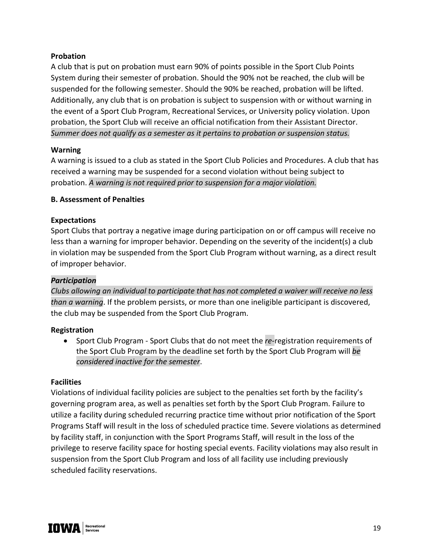#### **Probation**

A club that is put on probation must earn 90% of points possible in the Sport Club Points System during their semester of probation. Should the 90% not be reached, the club will be suspended for the following semester. Should the 90% be reached, probation will be lifted. Additionally, any club that is on probation is subject to suspension with or without warning in the event of a Sport Club Program, Recreational Services, or University policy violation. Upon probation, the Sport Club will receive an official notification from their Assistant Director. *Summer does not qualify as a semester as it pertains to probation or suspension status.*

#### **Warning**

A warning is issued to a club as stated in the Sport Club Policies and Procedures. A club that has received a warning may be suspended for a second violation without being subject to probation. *A warning is not required prior to suspension for a major violation.*

#### **B. Assessment of Penalties**

#### **Expectations**

Sport Clubs that portray a negative image during participation on or off campus will receive no less than a warning for improper behavior. Depending on the severity of the incident(s) a club in violation may be suspended from the Sport Club Program without warning, as a direct result of improper behavior.

#### *Participation*

*Clubs allowing an individual to participate that has not completed a waiver will receive no less than a warning*. If the problem persists, or more than one ineligible participant is discovered, the club may be suspended from the Sport Club Program.

#### **Registration**

• Sport Club Program - Sport Clubs that do not meet the *re-*registration requirements of the Sport Club Program by the deadline set forth by the Sport Club Program will *be considered inactive for the semester*.

#### **Facilities**

Violations of individual facility policies are subject to the penalties set forth by the facility's governing program area, as well as penalties set forth by the Sport Club Program. Failure to utilize a facility during scheduled recurring practice time without prior notification of the Sport Programs Staff will result in the loss of scheduled practice time. Severe violations as determined by facility staff, in conjunction with the Sport Programs Staff, will result in the loss of the privilege to reserve facility space for hosting special events. Facility violations may also result in suspension from the Sport Club Program and loss of all facility use including previously scheduled facility reservations.

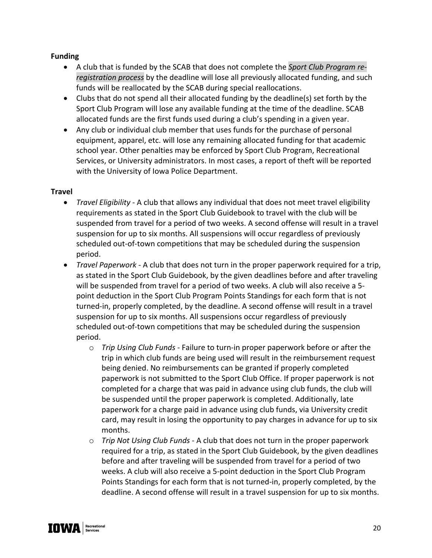#### **Funding**

- A club that is funded by the SCAB that does not complete the *Sport Club Program reregistration process* by the deadline will lose all previously allocated funding, and such funds will be reallocated by the SCAB during special reallocations.
- Clubs that do not spend all their allocated funding by the deadline(s) set forth by the Sport Club Program will lose any available funding at the time of the deadline. SCAB allocated funds are the first funds used during a club's spending in a given year.
- Any club or individual club member that uses funds for the purchase of personal equipment, apparel, etc. will lose any remaining allocated funding for that academic school year. Other penalties may be enforced by Sport Club Program, Recreational Services, or University administrators. In most cases, a report of theft will be reported with the University of Iowa Police Department.

#### **Travel**

- *Travel Eligibility* A club that allows any individual that does not meet travel eligibility requirements as stated in the Sport Club Guidebook to travel with the club will be suspended from travel for a period of two weeks. A second offense will result in a travel suspension for up to six months. All suspensions will occur regardless of previously scheduled out-of-town competitions that may be scheduled during the suspension period.
- *Travel Paperwork* A club that does not turn in the proper paperwork required for a trip, as stated in the Sport Club Guidebook, by the given deadlines before and after traveling will be suspended from travel for a period of two weeks. A club will also receive a 5 point deduction in the Sport Club Program Points Standings for each form that is not turned-in, properly completed, by the deadline. A second offense will result in a travel suspension for up to six months. All suspensions occur regardless of previously scheduled out-of-town competitions that may be scheduled during the suspension period.
	- o *Trip Using Club Funds -* Failure to turn-in proper paperwork before or after the trip in which club funds are being used will result in the reimbursement request being denied. No reimbursements can be granted if properly completed paperwork is not submitted to the Sport Club Office. If proper paperwork is not completed for a charge that was paid in advance using club funds, the club will be suspended until the proper paperwork is completed. Additionally, late paperwork for a charge paid in advance using club funds, via University credit card, may result in losing the opportunity to pay charges in advance for up to six months.
	- o *Trip Not Using Club Funds -* A club that does not turn in the proper paperwork required for a trip, as stated in the Sport Club Guidebook, by the given deadlines before and after traveling will be suspended from travel for a period of two weeks. A club will also receive a 5-point deduction in the Sport Club Program Points Standings for each form that is not turned-in, properly completed, by the deadline. A second offense will result in a travel suspension for up to six months.

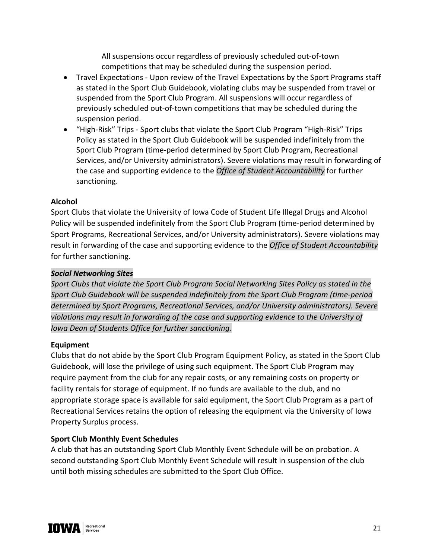All suspensions occur regardless of previously scheduled out-of-town competitions that may be scheduled during the suspension period.

- Travel Expectations Upon review of the Travel Expectations by the Sport Programs staff as stated in the Sport Club Guidebook, violating clubs may be suspended from travel or suspended from the Sport Club Program. All suspensions will occur regardless of previously scheduled out-of-town competitions that may be scheduled during the suspension period.
- "High-Risk" Trips Sport clubs that violate the Sport Club Program "High-Risk" Trips Policy as stated in the Sport Club Guidebook will be suspended indefinitely from the Sport Club Program (time-period determined by Sport Club Program, Recreational Services, and/or University administrators). Severe violations may result in forwarding of the case and supporting evidence to the *Office of Student Accountability* for further sanctioning.

#### **Alcohol**

Sport Clubs that violate the University of Iowa Code of Student Life Illegal Drugs and Alcohol Policy will be suspended indefinitely from the Sport Club Program (time-period determined by Sport Programs, Recreational Services, and/or University administrators). Severe violations may result in forwarding of the case and supporting evidence to the *Office of Student Accountability* for further sanctioning.

#### *Social Networking Sites*

*Sport Clubs that violate the Sport Club Program Social Networking Sites Policy as stated in the Sport Club Guidebook will be suspended indefinitely from the Sport Club Program (time-period determined by Sport Programs, Recreational Services, and/or University administrators). Severe violations may result in forwarding of the case and supporting evidence to the University of Iowa Dean of Students Office for further sanctioning.*

#### **Equipment**

Clubs that do not abide by the Sport Club Program Equipment Policy, as stated in the Sport Club Guidebook, will lose the privilege of using such equipment. The Sport Club Program may require payment from the club for any repair costs, or any remaining costs on property or facility rentals for storage of equipment. If no funds are available to the club, and no appropriate storage space is available for said equipment, the Sport Club Program as a part of Recreational Services retains the option of releasing the equipment via the University of Iowa Property Surplus process.

#### **Sport Club Monthly Event Schedules**

A club that has an outstanding Sport Club Monthly Event Schedule will be on probation. A second outstanding Sport Club Monthly Event Schedule will result in suspension of the club until both missing schedules are submitted to the Sport Club Office.